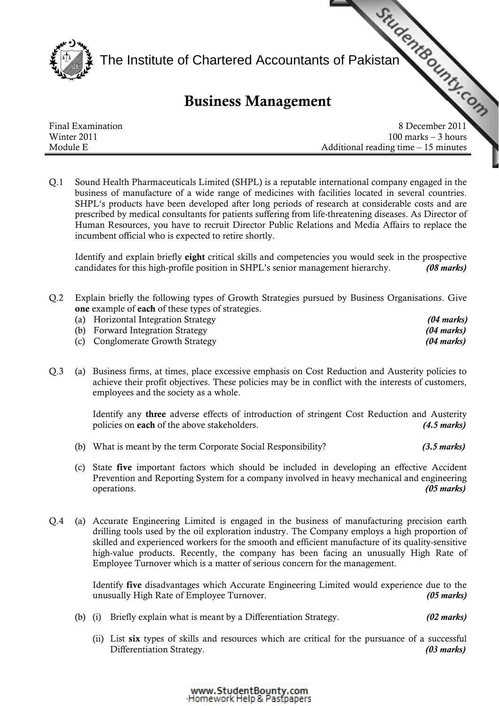

## Business Management

|                   | The Institute of Chartered Accountants of Pakistan<br><b>Business Management</b> |
|-------------------|----------------------------------------------------------------------------------|
|                   |                                                                                  |
| Final Examination | 8 December 2011                                                                  |
| Winter 2011       | $100$ marks $-3$ hours                                                           |
| Module E          | Additional reading time $-15$ minutes                                            |

Q.1 Sound Health Pharmaceuticals Limited (SHPL) is a reputable international company engaged in the business of manufacture of a wide range of medicines with facilities located in several countries. SHPL's products have been developed after long periods of research at considerable costs and are prescribed by medical consultants for patients suffering from life-threatening diseases. As Director of Human Resources, you have to recruit Director Public Relations and Media Affairs to replace the incumbent official who is expected to retire shortly.

Identify and explain briefly eight critical skills and competencies you would seek in the prospective candidates for this high-profile position in SHPL's senior management hierarchy. *(08 marks)*

Q.2 Explain briefly the following types of Growth Strategies pursued by Business Organisations. Give one example of each of these types of strategies.

| (a) Horizontal Integration Strategy | $(04 \text{ marks})$ |
|-------------------------------------|----------------------|
| (b) Forward Integration Strategy    | (04 marks)           |
| (c) Conglomerate Growth Strategy    | (04 marks)           |

Q.3 (a) Business firms, at times, place excessive emphasis on Cost Reduction and Austerity policies to achieve their profit objectives. These policies may be in conflict with the interests of customers, employees and the society as a whole.

> Identify any three adverse effects of introduction of stringent Cost Reduction and Austerity policies on each of the above stakeholders. *(4.5 marks)*

- (b) What is meant by the term Corporate Social Responsibility? *(3.5 marks)*
- (c) State five important factors which should be included in developing an effective Accident Prevention and Reporting System for a company involved in heavy mechanical and engineering operations. *(05 marks)*
- Q.4 (a) Accurate Engineering Limited is engaged in the business of manufacturing precision earth drilling tools used by the oil exploration industry. The Company employs a high proportion of skilled and experienced workers for the smooth and efficient manufacture of its quality-sensitive high-value products. Recently, the company has been facing an unusually High Rate of Employee Turnover which is a matter of serious concern for the management.

 Identify five disadvantages which Accurate Engineering Limited would experience due to the unusually High Rate of Employee Turnover. *(05 marks)*

- (b) (i) Briefly explain what is meant by a Differentiation Strategy. *(02 marks)*
	- (ii) List six types of skills and resources which are critical for the pursuance of a successful Differentiation Strategy. *(03 marks)*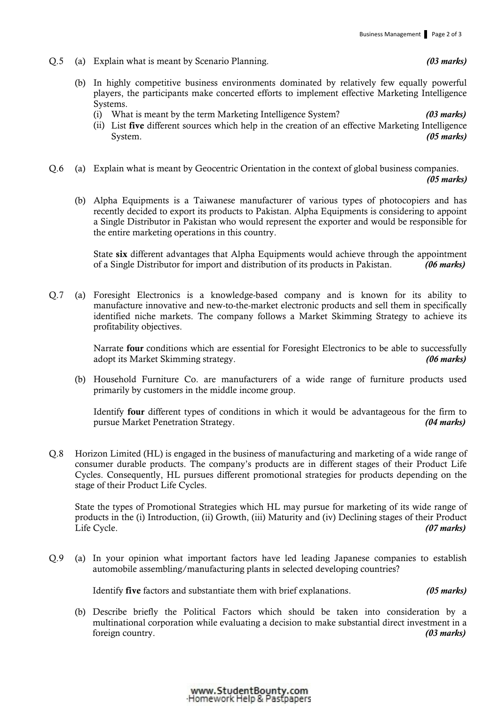- Q.5 (a) Explain what is meant by Scenario Planning. *(03 marks)*
	- (b) In highly competitive business environments dominated by relatively few equally powerful players, the participants make concerted efforts to implement effective Marketing Intelligence Systems.
		- (i) What is meant by the term Marketing Intelligence System? *(03 marks)*
		- (ii) List five different sources which help in the creation of an effective Marketing Intelligence System. *(05 marks)*
- Q.6 (a) Explain what is meant by Geocentric Orientation in the context of global business companies. *(05 marks)*
	- (b) Alpha Equipments is a Taiwanese manufacturer of various types of photocopiers and has recently decided to export its products to Pakistan. Alpha Equipments is considering to appoint a Single Distributor in Pakistan who would represent the exporter and would be responsible for the entire marketing operations in this country.

State six different advantages that Alpha Equipments would achieve through the appointment of a Single Distributor for import and distribution of its products in Pakistan. *(06 marks)*

Q.7 (a) Foresight Electronics is a knowledge-based company and is known for its ability to manufacture innovative and new-to-the-market electronic products and sell them in specifically identified niche markets. The company follows a Market Skimming Strategy to achieve its profitability objectives.

> Narrate four conditions which are essential for Foresight Electronics to be able to successfully adopt its Market Skimming strategy. *(06 marks)*

 (b) Household Furniture Co. are manufacturers of a wide range of furniture products used primarily by customers in the middle income group.

 Identify four different types of conditions in which it would be advantageous for the firm to pursue Market Penetration Strategy. *(04 marks)*

Q.8 Horizon Limited (HL) is engaged in the business of manufacturing and marketing of a wide range of consumer durable products. The company's products are in different stages of their Product Life Cycles. Consequently, HL pursues different promotional strategies for products depending on the stage of their Product Life Cycles.

State the types of Promotional Strategies which HL may pursue for marketing of its wide range of products in the (i) Introduction, (ii) Growth, (iii) Maturity and (iv) Declining stages of their Product Life Cycle. *(07 marks)* 

Q.9 (a) In your opinion what important factors have led leading Japanese companies to establish automobile assembling/manufacturing plants in selected developing countries?

Identify five factors and substantiate them with brief explanations. *(05 marks)*

 (b) Describe briefly the Political Factors which should be taken into consideration by a multinational corporation while evaluating a decision to make substantial direct investment in a foreign country. *(03 marks)*